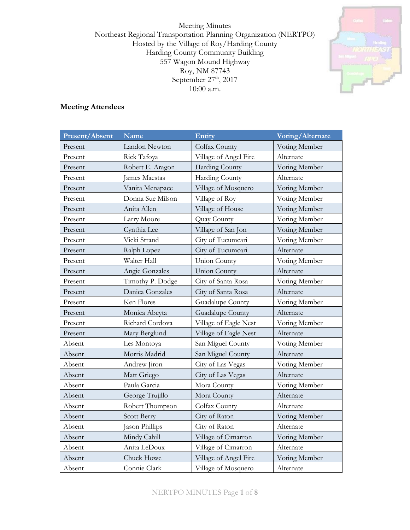Meeting Minutes Northeast Regional Transportation Planning Organization (NERTPO) Hosted by the Village of Roy/Harding County Harding County Community Building 557 Wagon Mound Highway Roy, NM 87743 September  $27<sup>th</sup>$ , 2017 10:00 a.m.



### **Meeting Attendees**

| <b>Present/Absent</b> | <b>Name</b>          | Entity                | Voting/Alternate |
|-----------------------|----------------------|-----------------------|------------------|
| Present               | Landon Newton        | Colfax County         | Voting Member    |
| Present               | Rick Tafoya          | Village of Angel Fire | Alternate        |
| Present               | Robert E. Aragon     | <b>Harding County</b> | Voting Member    |
| Present               | <b>James Maestas</b> | <b>Harding County</b> | Alternate        |
| Present               | Vanita Menapace      | Village of Mosquero   | Voting Member    |
| Present               | Donna Sue Milson     | Village of Roy        | Voting Member    |
| Present               | Anita Allen          | Village of House      | Voting Member    |
| Present               | Larry Moore          | Quay County           | Voting Member    |
| Present               | Cynthia Lee          | Village of San Jon    | Voting Member    |
| Present               | Vicki Strand         | City of Tucumcari     | Voting Member    |
| Present               | Ralph Lopez          | City of Tucumcari     | Alternate        |
| Present               | Walter Hall          | <b>Union County</b>   | Voting Member    |
| Present               | Angie Gonzales       | <b>Union County</b>   | Alternate        |
| Present               | Timothy P. Dodge     | City of Santa Rosa    | Voting Member    |
| Present               | Danica Gonzales      | City of Santa Rosa    | Alternate        |
| Present               | Ken Flores           | Guadalupe County      | Voting Member    |
| Present               | Monica Abeyta        | Guadalupe County      | Alternate        |
| Present               | Richard Cordova      | Village of Eagle Nest | Voting Member    |
| Present               | Mary Berglund        | Village of Eagle Nest | Alternate        |
| Absent                | Les Montoya          | San Miguel County     | Voting Member    |
| Absent                | Morris Madrid        | San Miguel County     | Alternate        |
| Absent                | Andrew Jiron         | City of Las Vegas     | Voting Member    |
| Absent                | Matt Griego          | City of Las Vegas     | Alternate        |
| Absent                | Paula Garcia         | Mora County           | Voting Member    |
| Absent                | George Trujillo      | Mora County           | Alternate        |
| Absent                | Robert Thompson      | Colfax County         | Alternate        |
| Absent                | Scott Berry          | City of Raton         | Voting Member    |
| Absent                | Jason Phillips       | City of Raton         | Alternate        |
| Absent                | Mindy Cahill         | Village of Cimarron   | Voting Member    |
| Absent                | Anita LeDoux         | Village of Cimarron   | Alternate        |
| Absent                | Chuck Howe           | Village of Angel Fire | Voting Member    |
| Absent                | Connie Clark         | Village of Mosquero   | Alternate        |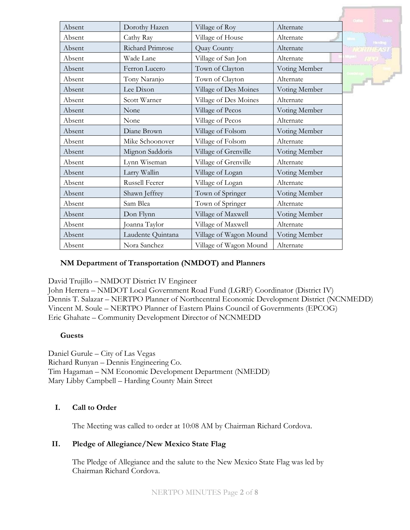|        |                   |                        |               | <b>United</b>   |
|--------|-------------------|------------------------|---------------|-----------------|
| Absent | Dorothy Hazen     | Village of Roy         | Alternate     |                 |
| Absent | Cathy Ray         | Village of House       | Alternate     | <b>Thinking</b> |
| Absent | Richard Primrose  | Quay County            | Alternate     |                 |
| Absent | Wade Lane         | Village of San Jon     | Alternate     |                 |
| Absent | Ferron Lucero     | Town of Clayton        | Voting Member |                 |
| Absent | Tony Naranjo      | Town of Clayton        | Alternate     | $r^2$           |
| Absent | Lee Dixon         | Village of Des Moines  | Voting Member |                 |
| Absent | Scott Warner      | Village of Des Moines  | Alternate     |                 |
| Absent | None              | Village of Pecos       | Voting Member |                 |
| Absent | None              | Village of Pecos       | Alternate     |                 |
| Absent | Diane Brown       | Village of Folsom      | Voting Member |                 |
| Absent | Mike Schoonover   | Village of Folsom      | Alternate     |                 |
| Absent | Mignon Saddoris   | Village of Grenville   | Voting Member |                 |
| Absent | Lynn Wiseman      | Village of Grenville   | Alternate     |                 |
| Absent | Larry Wallin      | Village of Logan       | Voting Member |                 |
| Absent | Russell Feerer    | Village of Logan       | Alternate     |                 |
| Absent | Shawn Jeffrey     | Town of Springer       | Voting Member |                 |
| Absent | Sam Blea          | Town of Springer       | Alternate     |                 |
| Absent | Don Flynn         | Village of Maxwell     | Voting Member |                 |
| Absent | Joanna Taylor     | Village of Maxwell     | Alternate     |                 |
| Absent | Laudente Quintana | Village of Wagon Mound | Voting Member |                 |
| Absent | Nora Sanchez      | Village of Wagon Mound | Alternate     |                 |

### **NM Department of Transportation (NMDOT) and Planners**

David Trujillo – NMDOT District IV Engineer

John Herrera – NMDOT Local Government Road Fund (LGRF) Coordinator (District IV) Dennis T. Salazar – NERTPO Planner of Northcentral Economic Development District (NCNMEDD) Vincent M. Soule – NERTPO Planner of Eastern Plains Council of Governments (EPCOG) Eric Ghahate – Community Development Director of NCNMEDD

#### **Guests**

Daniel Gurule – City of Las Vegas Richard Runyan – Dennis Engineering Co. Tim Hagaman – NM Economic Development Department (NMEDD) Mary Libby Campbell – Harding County Main Street

### **I. Call to Order**

The Meeting was called to order at 10:08 AM by Chairman Richard Cordova.

### **II. Pledge of Allegiance/New Mexico State Flag**

The Pledge of Allegiance and the salute to the New Mexico State Flag was led by Chairman Richard Cordova.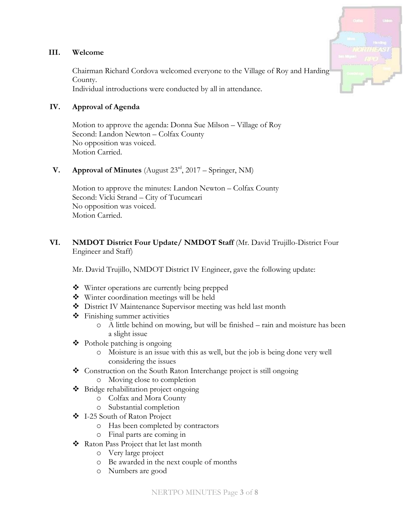#### **III. Welcome**

Chairman Richard Cordova welcomed everyone to the Village of Roy and Harding County. Individual introductions were conducted by all in attendance.

### **IV. Approval of Agenda**

Motion to approve the agenda: Donna Sue Milson – Village of Roy Second: Landon Newton – Colfax County No opposition was voiced. Motion Carried.

**V. Approval of Minutes** (August  $23^{rd}$ ,  $2017 -$  Springer, NM)

Motion to approve the minutes: Landon Newton – Colfax County Second: Vicki Strand – City of Tucumcari No opposition was voiced. Motion Carried.

### **VI. NMDOT District Four Update/ NMDOT Staff** (Mr. David Trujillo-District Four Engineer and Staff)

Mr. David Trujillo, NMDOT District IV Engineer, gave the following update:

- Winter operations are currently being prepped
- Winter coordination meetings will be held
- District IV Maintenance Supervisor meeting was held last month
- Finishing summer activities
	- o A little behind on mowing, but will be finished rain and moisture has been a slight issue
- $\triangleleft$  Pothole patching is ongoing
	- o Moisture is an issue with this as well, but the job is being done very well considering the issues
- Construction on the South Raton Interchange project is still ongoing
	- o Moving close to completion
- ❖ Bridge rehabilitation project ongoing
	- o Colfax and Mora County
	- o Substantial completion
- I-25 South of Raton Project
	- o Has been completed by contractors
	- o Final parts are coming in
- Raton Pass Project that let last month
	- o Very large project
	- o Be awarded in the next couple of months
	- o Numbers are good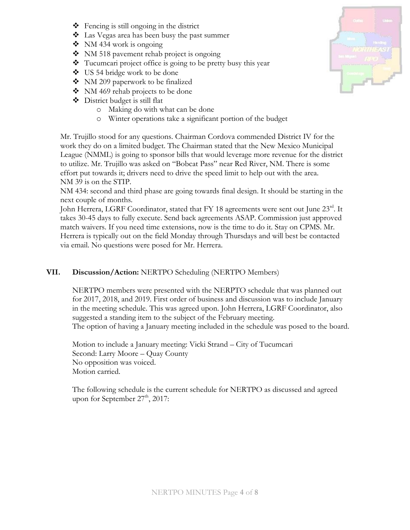- $\triangleleft$  Fencing is still ongoing in the district
- Las Vegas area has been busy the past summer
- $\bullet$  NM 434 work is ongoing
- NM 518 pavement rehab project is ongoing
- $\bullet$  Tucumcari project office is going to be pretty busy this year
- US 54 bridge work to be done
- NM 209 paperwork to be finalized
- ◆ NM 469 rehab projects to be done
- District budget is still flat
	- o Making do with what can be done
	- o Winter operations take a significant portion of the budget

Mr. Trujillo stood for any questions. Chairman Cordova commended District IV for the work they do on a limited budget. The Chairman stated that the New Mexico Municipal League (NMML) is going to sponsor bills that would leverage more revenue for the district to utilize. Mr. Trujillo was asked on "Bobcat Pass" near Red River, NM. There is some effort put towards it; drivers need to drive the speed limit to help out with the area. NM 39 is on the STIP.

NM 434: second and third phase are going towards final design. It should be starting in the next couple of months.

John Herrera, LGRF Coordinator, stated that FY 18 agreements were sent out June 23rd. It takes 30-45 days to fully execute. Send back agreements ASAP. Commission just approved match waivers. If you need time extensions, now is the time to do it. Stay on CPMS. Mr. Herrera is typically out on the field Monday through Thursdays and will best be contacted via email. No questions were posed for Mr. Herrera.

# **VII. Discussion/Action:** NERTPO Scheduling (NERTPO Members)

NERTPO members were presented with the NERPTO schedule that was planned out for 2017, 2018, and 2019. First order of business and discussion was to include January in the meeting schedule. This was agreed upon. John Herrera, LGRF Coordinator, also suggested a standing item to the subject of the February meeting. The option of having a January meeting included in the schedule was posed to the board.

Motion to include a January meeting: Vicki Strand – City of Tucumcari Second: Larry Moore – Quay County No opposition was voiced. Motion carried.

The following schedule is the current schedule for NERTPO as discussed and agreed upon for September 27<sup>th</sup>, 2017:

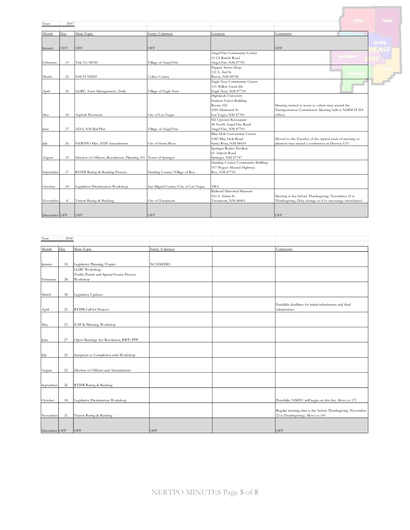| Year:        | 2017 |                                                                  |                                     |                                    |                                                         | <b>Units</b>   |
|--------------|------|------------------------------------------------------------------|-------------------------------------|------------------------------------|---------------------------------------------------------|----------------|
|              |      |                                                                  |                                     |                                    |                                                         |                |
| Month        | Day  | Main Topic                                                       | Entity Volunteer                    | Location                           | Comments                                                |                |
|              |      |                                                                  |                                     |                                    |                                                         |                |
|              |      |                                                                  |                                     |                                    |                                                         | <b>Bending</b> |
| January      | OFF  | OFF                                                              | OFF                                 |                                    | OFF                                                     |                |
|              |      |                                                                  |                                     | Angel Fire Community Center        | $\sim$ 18, 250                                          |                |
|              |      |                                                                  |                                     | 15 CS Ranch Road                   |                                                         |                |
| Februrary    | 15   | Title VI, MVD                                                    | Village of Angel Fire               | Angel Fire, NM 87701               |                                                         |                |
|              |      |                                                                  |                                     | Pappas' Sweet Shop                 |                                                         |                |
|              |      |                                                                  |                                     | 121 S. 2nd St.                     |                                                         |                |
| March        | 22   | NM FUNDIT                                                        | Colfax County                       | Raton, NM 88740                    |                                                         |                |
|              |      |                                                                  |                                     | Eagle Nest Community Center        |                                                         |                |
|              |      |                                                                  |                                     | 151 Willow Creek Dr.               |                                                         |                |
| April        | 26   | LGRF, Asset Management, Trails                                   | Village of Eagle Nest               | Eagle Nest, NM 87718               |                                                         |                |
|              |      |                                                                  |                                     | Highlands University               |                                                         |                |
|              |      |                                                                  |                                     | Student Union Building             |                                                         |                |
|              |      |                                                                  |                                     | Room 322                           | Meeting started at noon so others may attend the        |                |
|              |      |                                                                  |                                     | 1005 Diamond St.                   | Transportation Commission Meeting held at NMDOT D4      |                |
| May          | 18   | Asphalt Pavement                                                 | City of Las Vegas                   | Las Vegas, NM 87701                | offices.                                                |                |
|              |      |                                                                  |                                     | H <sub>2</sub> Uptown Restaurant   |                                                         |                |
|              |      |                                                                  |                                     | 48 North Angel Fire Road           |                                                         |                |
| June         | 27   | ADA, NM Rail Plan                                                | Village of Angel Fire               | Angel Fire, NM 87701               |                                                         |                |
|              |      |                                                                  |                                     | <b>Blue Hole Convention Center</b> |                                                         |                |
|              |      |                                                                  |                                     | 1085 Blue Hole Road                | Moved to the Tuesday of the typical week of meeting so  |                |
| July         | 26   | NERTPO Plan, STIP Amendment                                      | City of Santa Rosa                  | Santa Rosa, NM 88435               | planners may attend a conference in Denver, CO.         |                |
|              |      |                                                                  |                                     | Springer Rodeo Pavilion            |                                                         |                |
|              |      |                                                                  |                                     | 61 Airport Road                    |                                                         |                |
| August       | 23   | Election of Officers, Resolutions, Planning 101 Town of Springer |                                     | Springer, NM 87747                 |                                                         |                |
|              |      |                                                                  |                                     | Harding County Community Building  |                                                         |                |
|              |      |                                                                  |                                     | 557 Wagon Mound Highway            |                                                         |                |
| September    | 27   | RTIPR Rating & Ranking Process                                   | Harding County/Village of Roy       | Roy, NM 87743                      |                                                         |                |
|              |      |                                                                  |                                     |                                    |                                                         |                |
|              |      |                                                                  |                                     |                                    |                                                         |                |
| October      | 18   | Legislative Prioritization Workshop                              | San Miguel County/City of Las Vegas | TBA                                |                                                         |                |
|              |      |                                                                  |                                     | Railroad Historical Museum         |                                                         |                |
|              |      |                                                                  |                                     | 416 S. Adam St.                    | Meeting is day before Thanksgiving. November 23 is      |                |
| November     | 8    | Transit Rating & Ranking                                         | City of Tucumcari                   | Tucumcari, NM 88401                | Thanksgiving. Date change to 8 to encourage attendance? |                |
|              |      |                                                                  |                                     |                                    |                                                         |                |
|              |      |                                                                  |                                     |                                    |                                                         |                |
| December OFF |      | OFF                                                              | OFF                                 |                                    | OFF                                                     |                |

| Year:        | 2018 |                                           |                         |                                                           |
|--------------|------|-------------------------------------------|-------------------------|-----------------------------------------------------------|
|              |      |                                           |                         |                                                           |
| Month        | Day  | Main Topic                                | <b>Entity Volunteer</b> | Comments                                                  |
|              |      |                                           |                         |                                                           |
| January      | 24   | Legislative Planning/Topics               | <b>NCNMEDD</b>          |                                                           |
|              |      | LGRF Workshop,                            |                         |                                                           |
|              |      | Traffic Permit and Special Events Process |                         |                                                           |
| Februrary    | 28   | Workshop                                  |                         |                                                           |
|              |      |                                           |                         |                                                           |
| March        | 28   | Legislative Updates                       |                         |                                                           |
|              |      |                                           |                         |                                                           |
|              |      |                                           |                         | Establish deadlines for initial submissions and final     |
| April        | 25   | RTIPR Call for Projects                   |                         | submissions.                                              |
|              |      |                                           |                         |                                                           |
| May          | 23   | ICIP & Planning Workshop                  |                         |                                                           |
|              |      |                                           |                         |                                                           |
|              |      |                                           |                         |                                                           |
| June         | 27   | Open Meetings Act Resolution, RWP, PPP    |                         |                                                           |
|              |      |                                           |                         |                                                           |
|              |      |                                           |                         |                                                           |
| July         | 25   | Inception to Completion mini Workshop     |                         |                                                           |
|              |      |                                           |                         |                                                           |
| August       | 22   | Election of Officers and Amendments       |                         |                                                           |
|              |      |                                           |                         |                                                           |
|              |      |                                           |                         |                                                           |
| September    | 26   | RTIPR Rating & Ranking                    |                         |                                                           |
|              |      |                                           |                         |                                                           |
| October      | 24   | Legislative Prioritization Workshop       |                         | Possibility NMIFC will begin on this day. Move to 17?     |
|              |      |                                           |                         |                                                           |
|              |      |                                           |                         | Regular meeting date is day before Thanksgiving (November |
| November     | 21   | Transit Rating & Ranking                  |                         | 22 is Thanksgiving). Move to 14?                          |
|              |      |                                           |                         |                                                           |
| December OFF |      | OFF                                       | OFF                     | OFF                                                       |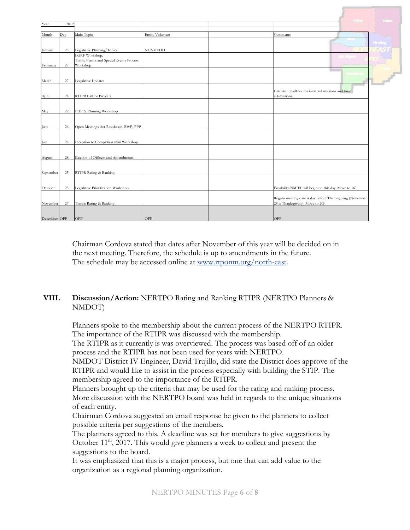| Year:        | 2019 |                                                       |                         |                                                                       | <b>United</b> |
|--------------|------|-------------------------------------------------------|-------------------------|-----------------------------------------------------------------------|---------------|
| Month        | Day  | Main Topic                                            | <b>Entity Volunteer</b> | Comments                                                              |               |
|              |      |                                                       |                         |                                                                       |               |
|              |      |                                                       |                         |                                                                       | <b>Firm</b>   |
| January      | 23   | Legislative Planning/Topics                           | <b>NCNMEDD</b>          |                                                                       |               |
|              |      | LGRF Workshop,                                        |                         |                                                                       |               |
| Februrary    | 27   | Traffic Permit and Special Events Process<br>Workshop |                         |                                                                       |               |
|              |      |                                                       |                         |                                                                       |               |
|              |      |                                                       |                         |                                                                       |               |
| March        | 27   | Legislative Updates                                   |                         |                                                                       |               |
|              |      |                                                       |                         |                                                                       |               |
| April        | 24   | RTIPR Call for Projects                               |                         | Establish deadlines for initial submissions and final<br>submissions. |               |
|              |      |                                                       |                         |                                                                       |               |
|              |      |                                                       |                         |                                                                       |               |
| May          | 22   | ICIP & Planning Workshop                              |                         |                                                                       |               |
|              |      |                                                       |                         |                                                                       |               |
| June         | 26   | Open Meetings Act Resolution, RWP, PPP                |                         |                                                                       |               |
|              |      |                                                       |                         |                                                                       |               |
|              |      |                                                       |                         |                                                                       |               |
| July         | 24   | Inception to Completion mini Workshop                 |                         |                                                                       |               |
|              |      |                                                       |                         |                                                                       |               |
| August       | 28   | Election of Officers and Amendments                   |                         |                                                                       |               |
|              |      |                                                       |                         |                                                                       |               |
|              |      |                                                       |                         |                                                                       |               |
| September    | 25   | RTIPR Rating & Ranking                                |                         |                                                                       |               |
|              |      |                                                       |                         |                                                                       |               |
| October      | 23   | Legislative Prioritization Workshop                   |                         | Possibility NMIFC will begin on this day. Move to 16?                 |               |
|              |      |                                                       |                         |                                                                       |               |
|              |      |                                                       |                         | Regular meeting date is day before Thanksgiving (November             |               |
| November     | 27   | Transit Rating & Ranking                              |                         | 28 is Thanksgiving). Move to 20?                                      |               |
|              |      |                                                       |                         |                                                                       |               |
| December OFF |      | OFF                                                   | OFF                     | OFF                                                                   |               |
|              |      |                                                       |                         |                                                                       |               |

Chairman Cordova stated that dates after November of this year will be decided on in the next meeting. Therefore, the schedule is up to amendments in the future. The schedule may be accessed online at [www.rtponm.org/north-east.](http://www.rtponm.org/north-east)

### **VIII. Discussion/Action:** NERTPO Rating and Ranking RTIPR (NERTPO Planners & NMDOT)

Planners spoke to the membership about the current process of the NERTPO RTIPR. The importance of the RTIPR was discussed with the membership.

The RTIPR as it currently is was overviewed. The process was based off of an older process and the RTIPR has not been used for years with NERTPO.

NMDOT District IV Engineer, David Trujillo, did state the District does approve of the RTIPR and would like to assist in the process especially with building the STIP. The membership agreed to the importance of the RTIPR.

Planners brought up the criteria that may be used for the rating and ranking process. More discussion with the NERTPO board was held in regards to the unique situations of each entity.

Chairman Cordova suggested an email response be given to the planners to collect possible criteria per suggestions of the members.

The planners agreed to this. A deadline was set for members to give suggestions by October 11<sup>th</sup>, 2017. This would give planners a week to collect and present the suggestions to the board.

It was emphasized that this is a major process, but one that can add value to the organization as a regional planning organization.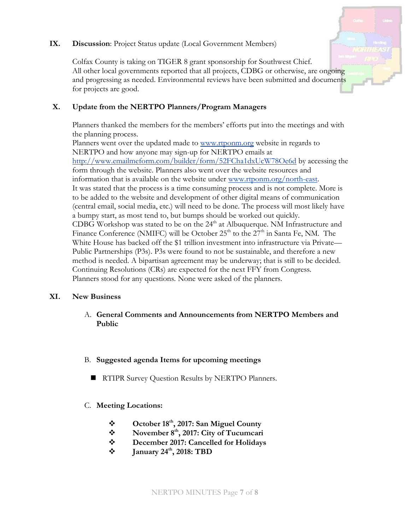#### **IX. Discussion**: Project Status update (Local Government Members)



Colfax County is taking on TIGER 8 grant sponsorship for Southwest Chief. All other local governments reported that all projects, CDBG or otherwise, are ongoing and progressing as needed. Environmental reviews have been submitted and documents for projects are good.

## **X. Update from the NERTPO Planners/Program Managers**

Planners thanked the members for the members' efforts put into the meetings and with the planning process.

Planners went over the updated made to [www.rtponm.org](http://www.rtponm.org/) website in regards to NERTPO and how anyone may sign-up for NERTPO emails at <http://www.emailmeform.com/builder/form/52FCha1dxUcW78Oe6d> by accessing the form through the website. Planners also went over the website resources and information that is available on the website under [www.rtponm.org/north-east.](http://www.rtponm.org/north-east) It was stated that the process is a time consuming process and is not complete. More is to be added to the website and development of other digital means of communication (central email, social media, etc.) will need to be done. The process will most likely have a bumpy start, as most tend to, but bumps should be worked out quickly. CDBG Workshop was stated to be on the  $24<sup>th</sup>$  at Albuquerque. NM Infrastructure and Finance Conference (NMIFC) will be October  $25<sup>th</sup>$  to the  $27<sup>th</sup>$  in Santa Fe, NM. The White House has backed off the \$1 trillion investment into infrastructure via Private— Public Partnerships (P3s). P3s were found to not be sustainable, and therefore a new method is needed. A bipartisan agreement may be underway; that is still to be decided. Continuing Resolutions (CRs) are expected for the next FFY from Congress. Planners stood for any questions. None were asked of the planners.

### **XI. New Business**

A. **General Comments and Announcements from NERTPO Members and Public**

### B. **Suggested agenda Items for upcoming meetings**

- **RTIPR Survey Question Results by NERTPO Planners.**
- C. **Meeting Locations:**
	- **October 18th, 2017: San Miguel County**
	- **November 8th, 2017: City of Tucumcari**
	- **December 2017: Cancelled for Holidays**
	- **†** January 24<sup>th</sup>, 2018: TBD